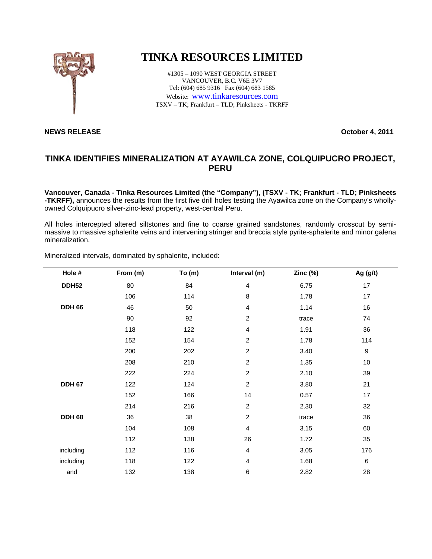

## **TINKA RESOURCES LIMITED**

#1305 – 1090 WEST GEORGIA STREET VANCOUVER, B.C. V6E 3V7 Tel: (604) 685 9316 Fax (604) 683 1585 Website: www.tinkaresources.com TSXV – TK; Frankfurt – TLD; Pinksheets - TKRFF

## **NEWS RELEASE October 4, 2011**

## **TINKA IDENTIFIES MINERALIZATION AT AYAWILCA ZONE, COLQUIPUCRO PROJECT, PERU**

**Vancouver, Canada - Tinka Resources Limited (the "Company"), (TSXV - TK; Frankfurt - TLD; Pinksheets -TKRFF),** announces the results from the first five drill holes testing the Ayawilca zone on the Company's whollyowned Colquipucro silver-zinc-lead property, west-central Peru.

All holes intercepted altered siltstones and fine to coarse grained sandstones, randomly crosscut by semimassive to massive sphalerite veins and intervening stringer and breccia style pyrite-sphalerite and minor galena mineralization.

| Hole #        | From (m) | To(m) | Interval (m)   | Zinc $(\%)$ | Ag $(g/t)$       |
|---------------|----------|-------|----------------|-------------|------------------|
| <b>DDH52</b>  | 80       | 84    | 4              | 6.75        | 17               |
|               | 106      | 114   | 8              | 1.78        | 17               |
| <b>DDH 66</b> | 46       | 50    | 4              | 1.14        | 16               |
|               | 90       | 92    | 2              | trace       | 74               |
|               | 118      | 122   | 4              | 1.91        | 36               |
|               | 152      | 154   | $\overline{c}$ | 1.78        | 114              |
|               | 200      | 202   | $\overline{c}$ | 3.40        | $\boldsymbol{9}$ |
|               | 208      | 210   | $\overline{c}$ | 1.35        | $10$             |
|               | 222      | 224   | $\overline{c}$ | 2.10        | 39               |
| <b>DDH 67</b> | 122      | 124   | $\overline{c}$ | 3.80        | 21               |
|               | 152      | 166   | 14             | 0.57        | 17               |
|               | 214      | 216   | $\overline{c}$ | 2.30        | 32               |
| <b>DDH 68</b> | 36       | 38    | $\overline{c}$ | trace       | 36               |
|               | 104      | 108   | 4              | 3.15        | 60               |
|               | 112      | 138   | 26             | 1.72        | 35               |
| including     | 112      | 116   | 4              | 3.05        | 176              |
| including     | 118      | 122   | 4              | 1.68        | 6                |
| and           | 132      | 138   | 6              | 2.82        | 28               |

Mineralized intervals, dominated by sphalerite, included: